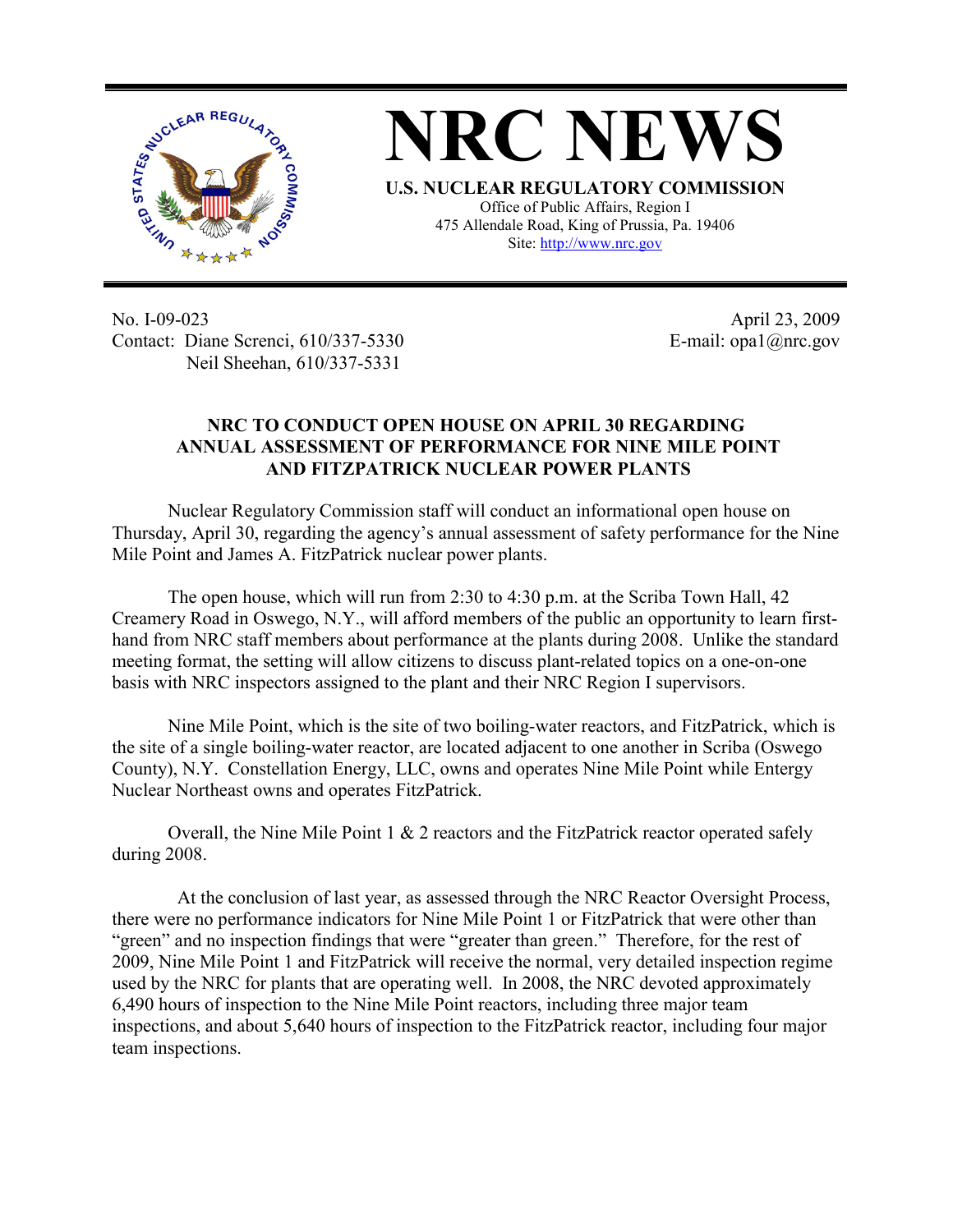

**NRC NEWS U.S. NUCLEAR REGULATORY COMMISSION** Office of Public Affairs, Region I 475 Allendale Road, King of Prussia, Pa. 19406

Site: http://www.nrc.gov

No. I-09-023 Contact: Diane Screnci, 610/337-5330 Neil Sheehan, 610/337-5331

April 23, 2009 E-mail: opa1@nrc.gov

## **NRC TO CONDUCT OPEN HOUSE ON APRIL 30 REGARDING ANNUAL ASSESSMENT OF PERFORMANCE FOR NINE MILE POINT AND FITZPATRICK NUCLEAR POWER PLANTS**

Nuclear Regulatory Commission staff will conduct an informational open house on Thursday, April 30, regarding the agency's annual assessment of safety performance for the Nine Mile Point and James A. FitzPatrick nuclear power plants.

The open house, which will run from 2:30 to 4:30 p.m. at the Scriba Town Hall, 42 Creamery Road in Oswego, N.Y., will afford members of the public an opportunity to learn firsthand from NRC staff members about performance at the plants during 2008. Unlike the standard meeting format, the setting will allow citizens to discuss plant-related topics on a one-on-one basis with NRC inspectors assigned to the plant and their NRC Region I supervisors.

Nine Mile Point, which is the site of two boiling-water reactors, and FitzPatrick, which is the site of a single boiling-water reactor, are located adjacent to one another in Scriba (Oswego County), N.Y. Constellation Energy, LLC, owns and operates Nine Mile Point while Entergy Nuclear Northeast owns and operates FitzPatrick.

Overall, the Nine Mile Point  $1 \& 2$  reactors and the FitzPatrick reactor operated safely during 2008.

 At the conclusion of last year, as assessed through the NRC Reactor Oversight Process, there were no performance indicators for Nine Mile Point 1 or FitzPatrick that were other than "green" and no inspection findings that were "greater than green." Therefore, for the rest of 2009, Nine Mile Point 1 and FitzPatrick will receive the normal, very detailed inspection regime used by the NRC for plants that are operating well. In 2008, the NRC devoted approximately 6,490 hours of inspection to the Nine Mile Point reactors, including three major team inspections, and about 5,640 hours of inspection to the FitzPatrick reactor, including four major team inspections.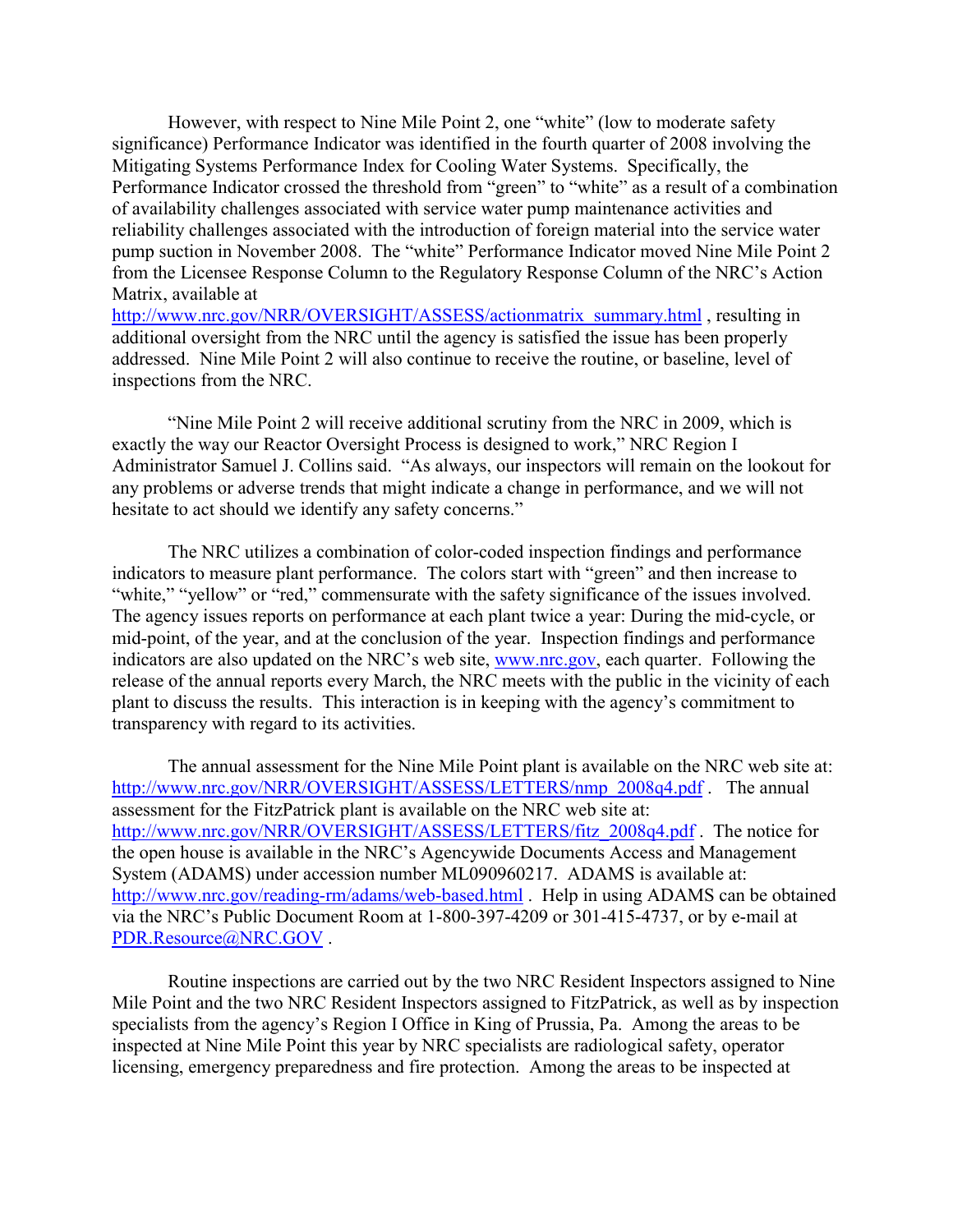However, with respect to Nine Mile Point 2, one "white" (low to moderate safety significance) Performance Indicator was identified in the fourth quarter of 2008 involving the Mitigating Systems Performance Index for Cooling Water Systems. Specifically, the Performance Indicator crossed the threshold from "green" to "white" as a result of a combination of availability challenges associated with service water pump maintenance activities and reliability challenges associated with the introduction of foreign material into the service water pump suction in November 2008. The "white" Performance Indicator moved Nine Mile Point 2 from the Licensee Response Column to the Regulatory Response Column of the NRC's Action Matrix, available at http://www.nrc.gov/NRR/OVERSIGHT/ASSESS/actionmatrix\_summary.html , resulting in

additional oversight from the NRC until the agency is satisfied the issue has been properly addressed. Nine Mile Point 2 will also continue to receive the routine, or baseline, level of inspections from the NRC.

"Nine Mile Point 2 will receive additional scrutiny from the NRC in 2009, which is exactly the way our Reactor Oversight Process is designed to work," NRC Region I Administrator Samuel J. Collins said. "As always, our inspectors will remain on the lookout for any problems or adverse trends that might indicate a change in performance, and we will not hesitate to act should we identify any safety concerns."

The NRC utilizes a combination of color-coded inspection findings and performance indicators to measure plant performance. The colors start with "green" and then increase to "white," "yellow" or "red," commensurate with the safety significance of the issues involved. The agency issues reports on performance at each plant twice a year: During the mid-cycle, or mid-point, of the year, and at the conclusion of the year. Inspection findings and performance indicators are also updated on the NRC's web site, www.nrc.gov, each quarter. Following the release of the annual reports every March, the NRC meets with the public in the vicinity of each plant to discuss the results. This interaction is in keeping with the agency's commitment to transparency with regard to its activities.

The annual assessment for the Nine Mile Point plant is available on the NRC web site at: http://www.nrc.gov/NRR/OVERSIGHT/ASSESS/LETTERS/nmp\_2008q4.pdf . The annual assessment for the FitzPatrick plant is available on the NRC web site at: http://www.nrc.gov/NRR/OVERSIGHT/ASSESS/LETTERS/fitz\_2008q4.pdf . The notice for the open house is available in the NRC's Agencywide Documents Access and Management System (ADAMS) under accession number ML090960217. ADAMS is available at: http://www.nrc.gov/reading-rm/adams/web-based.html . Help in using ADAMS can be obtained via the NRC's Public Document Room at 1-800-397-4209 or 301-415-4737, or by e-mail at PDR.Resource@NRC.GOV.

Routine inspections are carried out by the two NRC Resident Inspectors assigned to Nine Mile Point and the two NRC Resident Inspectors assigned to FitzPatrick, as well as by inspection specialists from the agency's Region I Office in King of Prussia, Pa. Among the areas to be inspected at Nine Mile Point this year by NRC specialists are radiological safety, operator licensing, emergency preparedness and fire protection. Among the areas to be inspected at